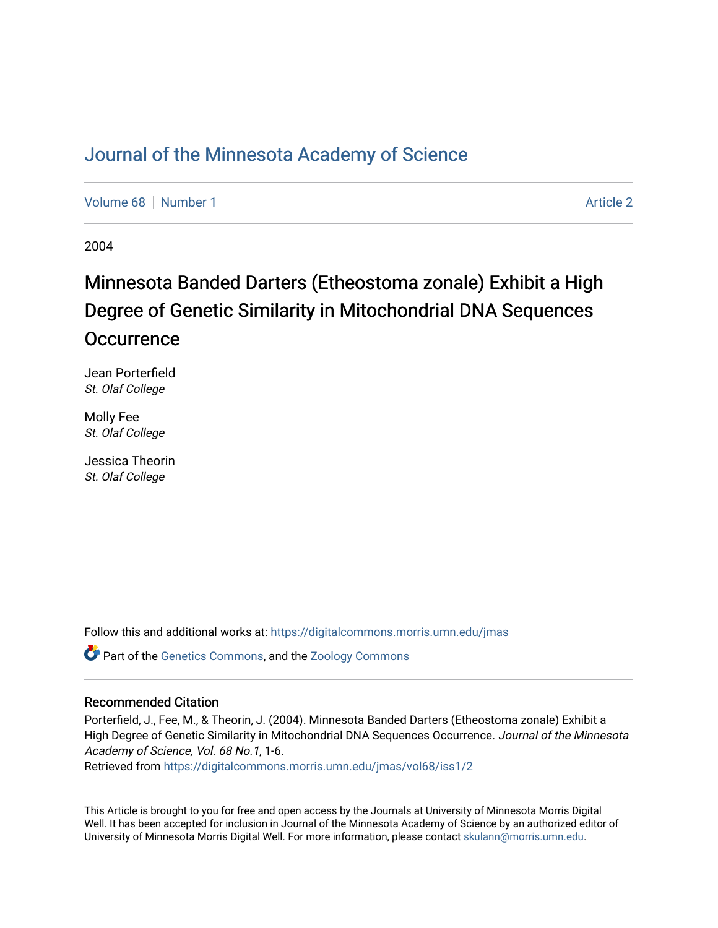## [Journal of the Minnesota Academy of Science](https://digitalcommons.morris.umn.edu/jmas)

[Volume 68](https://digitalcommons.morris.umn.edu/jmas/vol68) [Number 1](https://digitalcommons.morris.umn.edu/jmas/vol68/iss1) [Article 2](https://digitalcommons.morris.umn.edu/jmas/vol68/iss1/2) Article 2

2004

# Minnesota Banded Darters (Etheostoma zonale) Exhibit a High Degree of Genetic Similarity in Mitochondrial DNA Sequences **Occurrence**

Jean Porterfield St. Olaf College

Molly Fee St. Olaf College

Jessica Theorin St. Olaf College

Follow this and additional works at: [https://digitalcommons.morris.umn.edu/jmas](https://digitalcommons.morris.umn.edu/jmas?utm_source=digitalcommons.morris.umn.edu%2Fjmas%2Fvol68%2Fiss1%2F2&utm_medium=PDF&utm_campaign=PDFCoverPages) 

**C** Part of the [Genetics Commons,](https://network.bepress.com/hgg/discipline/29?utm_source=digitalcommons.morris.umn.edu%2Fjmas%2Fvol68%2Fiss1%2F2&utm_medium=PDF&utm_campaign=PDFCoverPages) and the [Zoology Commons](https://network.bepress.com/hgg/discipline/81?utm_source=digitalcommons.morris.umn.edu%2Fjmas%2Fvol68%2Fiss1%2F2&utm_medium=PDF&utm_campaign=PDFCoverPages)

#### Recommended Citation

Porterfield, J., Fee, M., & Theorin, J. (2004). Minnesota Banded Darters (Etheostoma zonale) Exhibit a High Degree of Genetic Similarity in Mitochondrial DNA Sequences Occurrence. Journal of the Minnesota Academy of Science, Vol. 68 No.1, 1-6.

Retrieved from [https://digitalcommons.morris.umn.edu/jmas/vol68/iss1/2](https://digitalcommons.morris.umn.edu/jmas/vol68/iss1/2?utm_source=digitalcommons.morris.umn.edu%2Fjmas%2Fvol68%2Fiss1%2F2&utm_medium=PDF&utm_campaign=PDFCoverPages)

This Article is brought to you for free and open access by the Journals at University of Minnesota Morris Digital Well. It has been accepted for inclusion in Journal of the Minnesota Academy of Science by an authorized editor of University of Minnesota Morris Digital Well. For more information, please contact [skulann@morris.umn.edu](mailto:skulann@morris.umn.edu).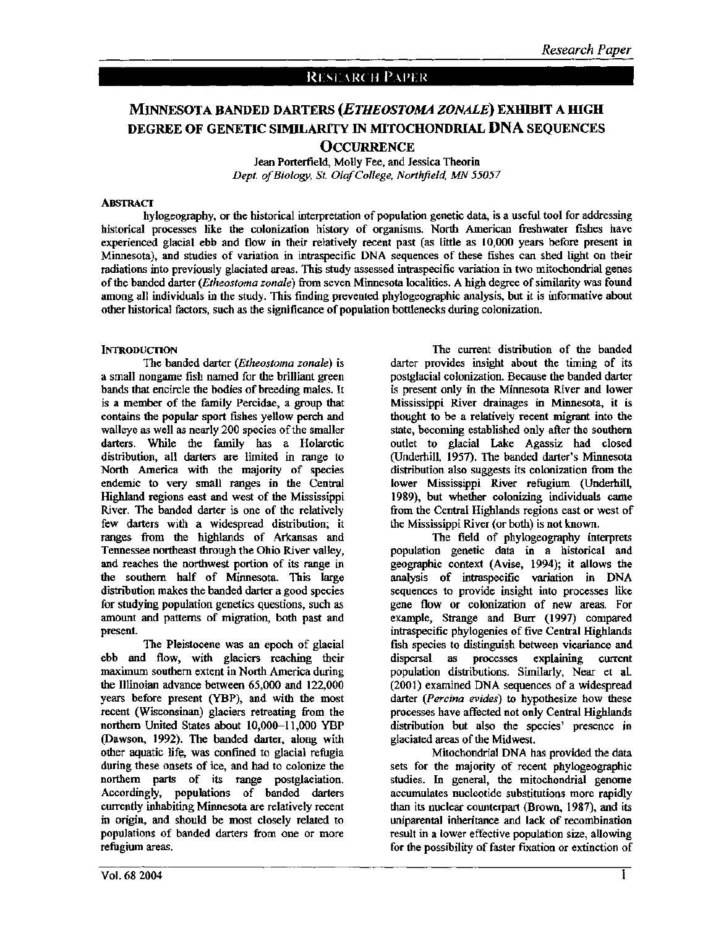### RESEARCH PAPER

## MINNESOTA BANDED DARTERS *(ETHEOSTOMA ZONALE)* EXHIBIT A IDGH DEGREE OF GENETIC SIMILARITY IN MITOCHONDRIAL DNA SEQUENCES **OCCURRENCE**

Jean Porterfield, Molly Fee, and Jessica Theorin *Dept. of Biology, St. OlafCollege, Northfield, MN 55057* 

#### **ABSTRACT**

hylogeography, or the historical interpretation of population genetic data, is a useful tool for addressing historical processes like the colonization history of organisms. North American freshwater fishes have experienced glacial ebb and flow in their relatively recent past (as little as 10,000 years before present in Minnesota), and studies of variation in intraspecific DNA sequences of these fishes can shed light on their radiations into previously glaciated areas. This study assessed intraspecific variation in two mitochondrial genes of the banded darter *(Etheostoma zonale)* from seven Minnesota localities. A high degree of similarity was found among all individuals in the study. This finding prevented phytogeographic analysis, but it is informative about other historical factors, such as the significance of population bottlenecks during colonization.

#### **INTRODUCTION**

The banded darter *(Etheostoma zonale)* is a small nongame fish named for the brilliant green bands that encircle the bodies of breeding males. It is a member of the family Percidae, a group that contains the popular sport fishes yellow perch and walleye as well as nearly 200 species of the smaller darters. While the family has a Holarctic distribution, all darters are limited in range to North America with the majority of species endemic to very small ranges in the Central Highland regions east and west of the Mississippi River. The banded darter is one of the relatively few darters with a widespread distribution; it ranges from the highlands of Arkansas and Tennessee northeast through the Ohio River valley, and reaches the northwest portion of its range in the southern half of Minnesota. This large distribution makes the banded darter a good species for studying population genetics questions, such as amount and patterns of migration, both past and present.

The Pleistocene was an epoch of glacial ebb and flow, with glaciers reaching their maximum southern extent in North America during the Illinoian advance between 65,000 and 122,000 years before present (YBP), and with the most recent (Wisconsinan) glaciers retreating from the northern United States about 10,000-11,000 YBP (Dawson, 1992). The banded darter, along with other aquatic life, was confined to glacial refugia during these onsets of ice, and had to colonize the northern parts of its range postglaciation. Accordingly, populations of banded darters currently inhabiting Minnesota are relatively recent in origin, and should be most closely related to populations of banded darters from one or more refugium areas.

The current distribution of the banded darter provides insight about the timing of its postglacial colonization. Because the banded darter is present only in the Minnesota River and lower Mississippi River drainages in Minnesota, it is thought to be a relatively recent migrant into the state, becoming established only after the southern outlet to glacial Lake Agassiz had closed (Underhill, 1957). The banded darter's Minnesota distribution also suggests its colonization from the lower Mississippi River refugium (Underhill, 1989), but whether colonizing individuals came from the Central Highlands regions east or west of the Mississippi River (or both) is not known.

The field of phytogeography interprets population genetic data in a historical and geographic context (Avise, 1994); it allows the analysis of intraspecific variation in DNA sequences to provide insight into processes like gene flow or colonization of new areas. For example, Strange and Burr (1997) compared intraspecific phylogenies of five Central Highlands fish species to distinguish between vicariance and dispersal as processes explaining current population distributions. Similarly, Near et al. (2001) examined DNA sequences of a widespread darter *(Percina evides)* to hypothesize how these processes have affected not only Central Highlands distribution but also the species' presence in glaciated areas of the Midwest.

Mitochondrial DNA has provided the data sets for the majority of recent phylogeographic studies. In general, the mitochondrial genome accumulates nucleotide substitutions more rapidly than its nuclear counterpart (Brown, 1987), and its uniparental inheritance and lack of recombination result in a lower effective population size, allowing for the possibility of faster fixation or extinction of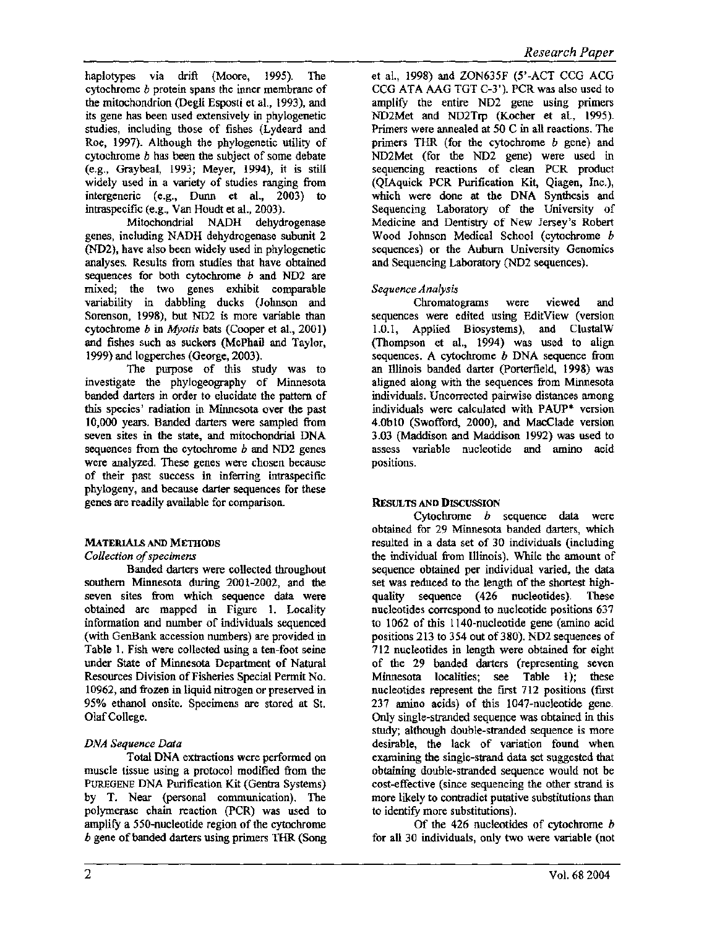haplotypes via drift (Moore, 1995). The cytochrome b protein spans the inner membrane of the mitochondrion (Degli Esposti et al., 1993), and its gene has been used extensively in phylogenetic studies, including those of fishes (Lydeard and Roe, 1997). Although the phylogenetic utility of cytochrome b has been the subject of some debate (e.g., Graybeal, 1993; Meyer, 1994), it is still widely used in a variety of studies ranging from intergeneric (e.g., Dunn et al., 2003) to intraspecific (e.g., Van Houdt et al., 2003).

Mitochondrial NADH dehydrogenase genes, including NADH dehydrogenase subunit 2 (ND2), have also been widely used in phylogenetic analyses. Results from studies that have obtained sequences for both cytochrome *b* and ND2 are mixed; the two genes exhibit comparable variability in dabbling ducks (Johnson and Sorenson, 1998), but ND2 is more variable than cytochrome *b* in *Myotis* bats (Cooper et al., 2001) and fishes such as suckers (McPhail and Taylor, 1999) and logperches (George, 2003).

The purpose of this study was to investigate the phytogeography of Minnesota banded darters in order to elucidate the pattern of this species' radiation in Minnesota over the past 10,000 years. Banded darters were sampled from seven sites in the state, and mitochondrial DNA sequences from the cytochrome *b* and ND2 genes were analyzed. These genes were chosen because of their past success in inferring intraspecific phylogeny, and because darter sequences for these genes are readily available for comparison.

## MATERIALS AND METHODS

### *Collection of specimens*

Banded darters were collected throughout southern Minnesota during 2001-2002, and the seven sites from which sequence data were obtained are mapped in Figure 1. Locality information and number of individuals sequenced (with GenBank accession numbers) are provided in Table 1. Fish were collected using a ten-foot seine under State of Minnesota Department of Natural Resources Division of Fisheries Special Permit No. 1 0962, and frozen in liquid nitrogen or preserved in 95% ethanol onsite. Specimens are stored at St. Olaf College.

## *DNA Sequence Data*

Total DNA extractions were performed on muscle tissue using a protocol modified from the PUREGENE DNA Purification Kit (Gentra Systems) by T. Near (personal communication). The polymerase chain reaction (PCR) was used to amplify a 550-nucleotide region of the cytochrome b gene of banded darters using primers THR (Song et al., 1998) and ZON635F (5'-ACT CCG ACG CCG ATA AAG TGT C-3'). PCR was also used to amplifY the entire ND2 gene using primers ND2Met and ND2Trp (Kocher et al., 1995). Primers were annealed at 50 C in all reactions. The primers THR (for the cytochrome *b* gene) and ND2Met (for the ND2 gene) were used in sequencing reactions of clean PCR product (QIAquick PCR Purification Kit, Qiagen, Inc.), which were done at the DNA Synthesis and Sequencing Laboratory of the University of Medicine and Dentistry of New Jersey's Robert Wood Johnson Medical School (cytochrome b sequences) or the Auburn University Genomics and Sequencing Laboratory (ND2 sequences).

### *Sequence Analysis*

Chromatograms were viewed and sequences were edited using EditView (version 1.0.1, Applied Biosystems), and ClustalW (Thompson et al., 1994) was used to align sequences. A cytochrome *b* DNA sequence from an Illinois banded darter (Porterfield, 1998) was aligned along with the sequences from Minnesota individuals. Uncorrected pairwise distances among individuals were calculated with PAUP\* version 4.0b10 (Swofford, 2000), and MacClade version 3.03 (Maddison and Maddison 1992) was used to assess variable nucleotide and amino acid positions.

## RESULTS AND DISCUSSION

Cytochrome *b* sequence data were obtained for 29 Minnesota banded darters, which resulted in a data set of 30 individuals (including the individual from Illinois). While the amount of sequence obtained per individual varied, the data set was reduced to the length of the shortest highquality sequence (426 nucleotides). These nucleotides correspond to nucleotide positions 637 to 1062 of this 1140-nucleotide gene (amino acid positions 213 to 354 out of 380). ND2 sequences of 712 nucleotides in length were obtained for eight of the 29 banded darters (representing seven Minnesota localities; see Table l); these nucleotides represent the first 712 positions (first 237 amino acids) of this 1047-nucleotide gene. Only single-stranded sequence was obtained in this study; although double-stranded sequence is more desirable, the lack of variation found when examining the single-strand data set suggested that obtaining double-stranded sequence would not be cost-effective (since sequencing the other strand is more likely to contradict putative substitutions than to identify more substitutions).

Of the 426 nucleotides of cytochrome *b*  for all 30 individuals, only two were variable (not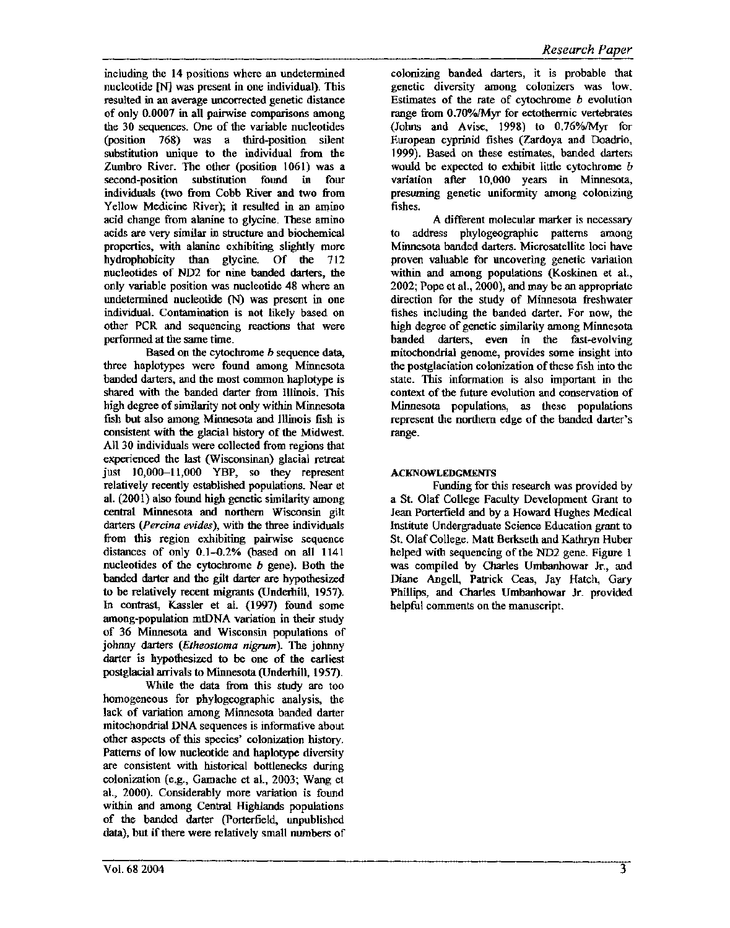including the 14 positions where an undetermined nucleotide [N] was present in one individual). This resulted in an average uncorrected genetic distance of only 0.0007 in all pairwise comparisons among the 30 sequences. One of the variable nucleotides (position 768) was a third-position silent substitution unique to the individual from the Zumbro River. The other (position 1061) was a second-position substitution found in four individuals (two from Cobb River and two from Yellow Medicine River); it resulted in an amino acid change from alanine to glycine. These amino acids are very similar in structure and biochemical properties, with alanine exhibiting slightly more hydrophobicity than glycine. Of the 712 nucleotides of ND2 for nine banded darters, the only variable position was nucleotide 48 where an undetermined nucleotide (N) was present in one individual. Contamination is not likely based on other PCR and sequencing reactions that were performed at the same time.

Based on the cytochrome *b* sequence data, three haplotypes were found among Minnesota banded darters, and the most common haplotype is shared with the banded darter from Illinois. This high degree of similarity not only within Minnesota fish but also among Minnesota and Illinois fish is consistent with the glacial history of the Midwest All 30 individuals were collected from regions that experienced the last (Wisconsinan) glacial retreat just 10,000-11,000 YBP, so they represent relatively recently established populations. Near et al. (2001) also found high genetic similarity among central Minnesota and northern Wisconsin gilt darters *(Percina evides),* with the three individuals from this region exhibiting pairwise sequence distances of only 0.1-0.2% (based on all 1141 nucleotides of the cytochrome *b* gene). Both the banded darter and the gilt darter are hypothesized to be relatively recent migrants (Underhill, 1957). In contrast, Kassler et al. (1997) found some among-population mtDNA variation in their study of 36 Minnesota and Wisconsin populations of johnny darters *(Etheostoma nigrum).* The johnny darter is hypothesized to be one of the earliest postglacial arrivals to Minnesota (Underhill, 1957).

While the data from this study are too homogeneous for phytogeographic analysis, the lack of variation among Minnesota banded darter mitochondrial DNA sequences is informative about other aspects of this species' colonization history. Patterns of low nucleotide and haplotype diversity are consistent with historical bottlenecks during colonization (e.g., Gamache et al., 2003; Wang et al., 2000). Considerably more variation is found within and among Central Highlands populations of the banded darter (Porterfield, unpublished data), but if there were relatively small numbers of

colonizing banded darters, it is probable that genetic diversity among colonizers was low. Estimates of the rate of cytochrome *b* evolution range from 0.70%/Myr for ectothermic vertebrates (Johns and Avise, 1998) to  $0.76\%$ /Myr for European cyprinid fishes (Zardoya and Doadrio, 1999). Based on these estimates, banded darters would be expected to exhibit little cytochrome *b*  variation after 10,000 years in Minnesota, presuming genetic uniformity among colonizing fishes.

A different molecular marker is necessary to address phytogeographic patterns among Minnesota banded darters. Microsatellite loci have proven valuable for uncovering genetic variation within and among populations (Koskinen et al., 2002; Pope et al., 2000), and may be an appropriate direction for the study of Minnesota freshwater fishes including the banded darter. For now, the high degree of genetic similarity among Minnesota banded darters, even in the fast-evolving mitochondrial genome, provides some insight into the postglaciation colonization of these fish into the state. This information is also important in the context of the future evolution and conservation of Minnesota populations, as these populations represent the northern edge of the banded darter's range.

#### ACKNOWLEDGMENTS

Funding for this research was provided by a St. Olaf College Faculty Development Grant to Jean Porterfield and by a Howard Hughes Medical Institute Undergraduate Science Education grant to St. Olaf College. Matt Berkseth and Kathryn Huber helped with sequencing of the ND2 gene. Figure 1 was compiled by Charles Umbanhowar Jr., and Diane Angell, Patrick Ceas, Jay Hatch, Gary Phillips, and Charles Umbanhowar Jr. provided helpful comments on the manuscript.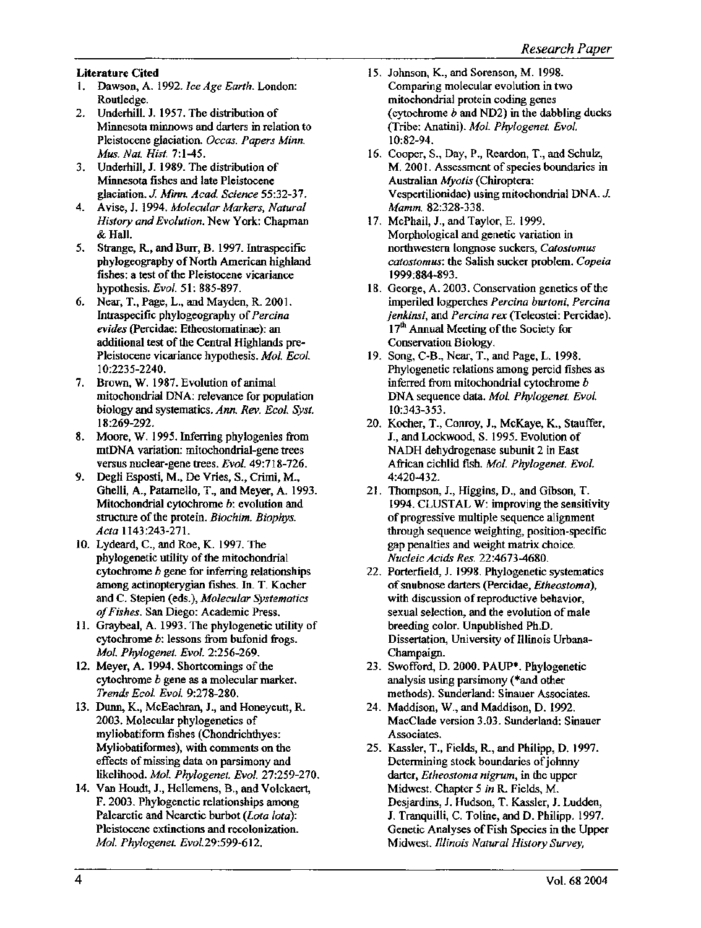#### Literature Cited

- l. Dawson, A. 1992. *Ice Age Earth.* London: Routledge.
- 2. Underhill. J. 1957. The distribution of Minnesota minnows and darters in relation to Pleistocene glaciation. *Occas. Papers Minn. Mus. Nat. Hist.* 7:1-45.
- 3. Underhill, J. 1989. The distribution of Minnesota fishes and late Pleistocene glaciation. *J. Minn. Acad Science* 55:32-37.
- 4. A vise, J. 1994. *Molecular Markers, Natural History and Evolution.* New York: Chapman & Hall.
- *5.* Strange, R, and Burr, B. 1997. Intraspecific phytogeography of North American highland fishes: a test of the Pleistocene vicariance hypothesis. *Evol.* 51: 885-897.
- 6. Near, T., Page, L., and Mayden, R. 2001. Intraspecific phylogeography of *Percina evides* (Percidae: Etheostomatinae ): an additional test of the Central Highlands pre-Pleistocene vicariance hypothesis. *Mol. Eco/.*  10:2235-2240.
- 7. Brown, W. 1987. Evolution of animal mitochondrial DNA: relevance for population biology and systematics. *Ann. Rev. Eco/. Syst.*  18:269-292.
- 8. Moore, W. 1995. Inferring phylogenies from mtDNA variation: mitochondrial-gene trees versus nuclear-gene trees. *Evol.* 49:718-726.
- 9. Degli Esposti, M., De Vries, S., Crimi, M., Ghelli, A., Patarnello, T., and Meyer, A. 1993. Mitochondrial cytochrome b: evolution and structure of the protein. *Biochim. Biophys. Acta* 1143:243-271.
- 10. Lydeard, C., and Roe, K. 1997. The phylogenetic utility of the mitochondrial cytochrome b gene for inferring relationships among actinopterygian fishes. In. T. Kocher and C. Stepien (eds.), *Molecular Systematics of Fishes.* San Diego: Academic Press.
- 11. Graybeal, A. 1993. The phylogenetic utility of cytochrome b: lessons from bufonid frogs. *Mol. Phy/ogenet. Evo/.* 2:256-269.
- 12. Meyer, A. 1994. Shortcomings of the cytochrome *b* gene as a molecular marker. *Trends Ecol. Evo/.* 9:278-280.
- 13. Dunn, K., McEachran, J., and Honeycutt, R 2003. Molecular phylogenetics of myliobatiform fishes (Chondrichthyes: Myliobatiformes), with comments on the effects of missing data on parsimony and likelihood. *Mol. Phy/ogenet. Evo/.* 27:259-270.
- 14. Van Houdt, J., Hellemens, B., and Volckaert, F. 2003. Phylogenetic relationships among Palearctic and Nearctic burbot *(Lota Iota):*  Pleistocene extinctions and recolonization. *Mol. Phylogenet. Evol.*29:599-612.
- 15. Johnson, K., and Sorenson, M. 1998. Comparing molecular evolution in two mitochondrial protein coding genes (cytochrome *b* and ND2) in the dabbling ducks (Tribe: Anatini). *Mol. Phylogenet. Evol.*  10:82-94.
- 16. Cooper, S., Day, P., Reardon, T., and Schulz, M. 2001. Assessment of species boundaries in Australian *Myotis* (Chiroptera: Vespertilionidae) using mitochondrial DNA. *J. Mamm.* 82:328-338.
- 17. McPhail, J., and Taylor, E. 1999. Morphological and genetic variation in northwestern longnose suckers, *Catostomus catostomus:* the Salish sucker problem. *Copeia*  1999:884-893.
- 18. George, A. 2003. Conservation genetics of the imperiled logperches *Percina burtoni, Percina jenkinsi*, and *Percina rex* (Teleostei: Percidae). 17<sup>th</sup> Annual Meeting of the Society for Conservation Biology.
- 19. Song, C-B., Near, T., and Page, L. 1998. Phylogenetic relations among percid fishes as inferred from mitochondrial cytochrome *b*  DNA sequence data. *Mol. Phylogenet. Evol.*  10:343-353.
- 20. Kocher, T., Conroy, J., McKaye, K., Stauffer, J., and Lockwood, S. 1995. Evolution of NADH dehydrogenase subunit 2 in East African cichlid fish. *Mol. Phylogenet. Evo/.*  4:420-432.
- 21. Thompson, J., Higgins, D., and Gibson, T. 1994. CLUSTAL W: improving the sensitivity of progressive multiple sequence alignment through sequence weighting, position-specific gap penalties and weight matrix choice. *Nucleic Acids Res.* 22:4673-4680.
- 22. Porterfield, J. 1998. Phylogenetic systematics of snubnose darters (Percidae, *Etheostoma),*  with discussion of reproductive behavior, sexual selection, and the evolution of male breeding color. Unpublished Ph.D. Dissertation, University of Illinois Urbana-Champaign.
- 23. Swofford, D. 2000. PAUP\*. Phylogenetic analysis using parsimony (\*and other methods). Sunderland: Sinauer Associates.
- 24. Maddison, W., and Maddison, D. 1992. MacClade version 3.03. Sunderland: Sinauer Associates.
- 25. Kassler, T., Fields, R, and Philipp, D. 1997. Determining stock boundaries of johnny darter, *Etheostoma nigrum,* in the upper Midwest. Chapter *5 in* R. Fields, M. Desjardins, J. Hudson, T. Kassler, J. Ludden, J. Tranquilli, C. Toline, and D. Philipp. 1997. Genetic Analyses of Fish Species in the Upper Midwest. *Illinois Natural History Survey,*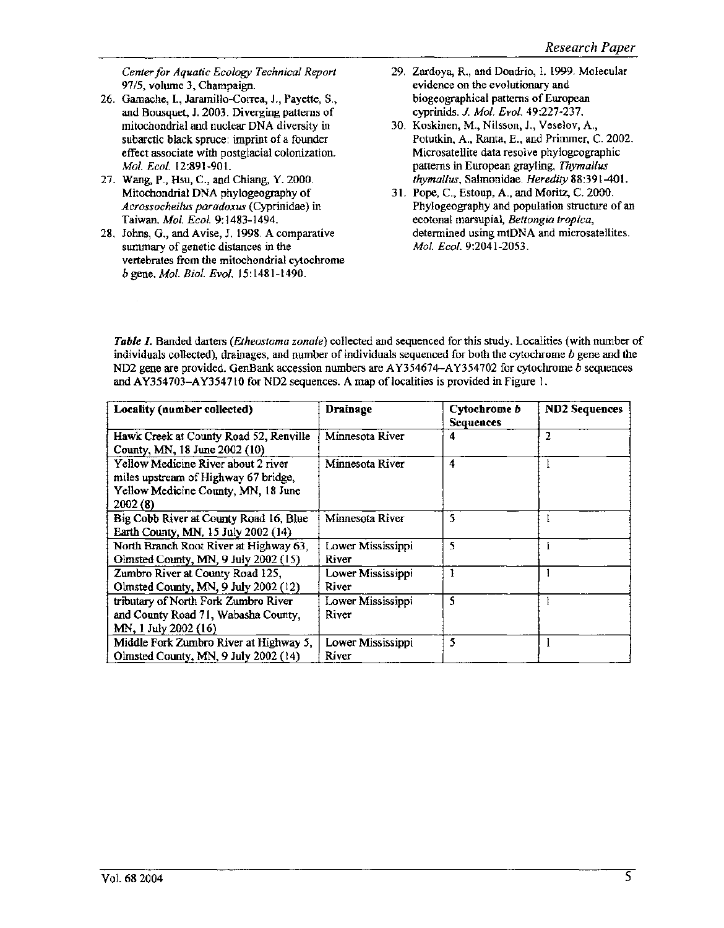*Center for Aquatic Ecology Technical Report*  97/5, volume 3, Champaign.

- 26. Gamache, 1., Jaramillo-Correa, J., Payette, S., and Bousquet, J. 2003. Diverging patterns of mitochondrial and nuclear DNA diversity in subarctic black spruce: imprint of a founder effect associate with postglacial colonization. *Mol. Ecol.* 12:891-901.
- 27. Wang, P., Hsu, C., and Chiang, Y. 2000. Mitochondrial DNA phylogeography of *Acrossocheilus paradoxus* (Cyprinidae) in Taiwan. *Mol. Eco/.* 9:1483-1494.
- 28. Johns, G., and A vise, J. 1998. A comparative summary of genetic distances in the vertebrates from the mitochondrial cytochrome *b* gene. *Mol. Bioi. Evol.* 15:1481-1490.
- 29. Zardoya, R., and Doadrio, I. 1999. Molecular evidence on the evolutionary and biogeographical patterns of European cyprinids. *J. Mol. Evol.* 49:227-237.
- 30. Koskinen, M., Nilsson, J., Veselov, A., Potutkin, A., Ranta, E., and Primmer, C. 2002. Microsatellite data resolve phylogeographic patterns in European grayling, *Thymallus thymallus,* Salmonidae. *Heredity* 88:391-401.
- 31. Pope, C., Estoup, A., and Moritz, C. 2000. Phylogeography and population structure of an ecotonal marsupial, *Bettongia tropica,*  determined using mtDNA and microsatellites. *Mol. Ecol.* 9:2041-2053.

*Table 1.* Banded darters *(Etheostoma zonale)* collected and sequenced for this study. Localities (with number of individuals collected), drainages, and number of individuals sequenced for both the cytochrome *b* gene and the ND2 gene are provided. GenBank accession numbers are A Y354674-AY354702 for cytochrome b sequences and AY354703-AY354710 for ND2 sequences. A map of localities is provided in Figure 1.

| Locality (number collected)                                                                                                   | <b>Drainage</b>            | Cytochrome b<br><b>Sequences</b> | <b>ND2 Sequences</b> |
|-------------------------------------------------------------------------------------------------------------------------------|----------------------------|----------------------------------|----------------------|
| Hawk Creek at County Road 52, Renville<br>County, MN, 18 June 2002 (10)                                                       | Minnesota River            | 4                                | 2                    |
| Yellow Medicine River about 2 river<br>miles upstream of Highway 67 bridge,<br>Yellow Medicine County, MN, 18 June<br>2002(8) | Minnesota River            | 4                                |                      |
| Big Cobb River at County Road 16, Blue<br>Earth County, MN, 15 July 2002 (14)                                                 | Minnesota River            | 5                                |                      |
| North Branch Root River at Highway 63,<br>Olmsted County, MN, 9 July 2002 (15)                                                | Lower Mississippi<br>River | 5                                |                      |
| Zumbro River at County Road 125,<br>Olmsted County, MN, 9 July 2002 (12)                                                      | Lower Mississippi<br>River |                                  |                      |
| tributary of North Fork Zumbro River<br>and County Road 71, Wabasha County,<br>MN, 1 July 2002 (16)                           | Lower Mississippi<br>River | 5                                |                      |
| Middle Fork Zumbro River at Highway 5,<br>Olmsted County, MN, 9 July 2002 (14)                                                | Lower Mississippi<br>River | 5                                |                      |